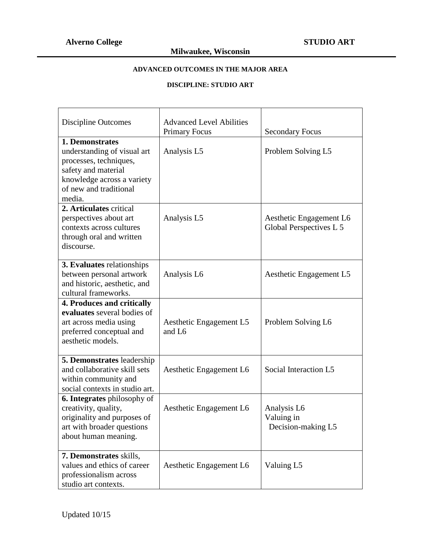# **ADVANCED OUTCOMES IN THE MAJOR AREA**

#### **DISCIPLINE: STUDIO ART**

| Discipline Outcomes                                                                                                                                               | <b>Advanced Level Abilities</b><br><b>Primary Focus</b> | <b>Secondary Focus</b>                             |
|-------------------------------------------------------------------------------------------------------------------------------------------------------------------|---------------------------------------------------------|----------------------------------------------------|
| 1. Demonstrates<br>understanding of visual art<br>processes, techniques,<br>safety and material<br>knowledge across a variety<br>of new and traditional<br>media. | Analysis L5                                             | Problem Solving L5                                 |
| 2. Articulates critical<br>perspectives about art<br>contexts across cultures<br>through oral and written<br>discourse.                                           | Analysis L5                                             | Aesthetic Engagement L6<br>Global Perspectives L 5 |
| 3. Evaluates relationships<br>between personal artwork<br>and historic, aesthetic, and<br>cultural frameworks.                                                    | Analysis L6                                             | Aesthetic Engagement L5                            |
| 4. Produces and critically<br>evaluates several bodies of<br>art across media using<br>preferred conceptual and<br>aesthetic models.                              | Aesthetic Engagement L5<br>and L6                       | Problem Solving L6                                 |
| 5. Demonstrates leadership<br>and collaborative skill sets<br>within community and<br>social contexts in studio art.                                              | Aesthetic Engagement L6                                 | Social Interaction L5                              |
| 6. Integrates philosophy of<br>creativity, quality,<br>originality and purposes of<br>art with broader questions<br>about human meaning.                          | Aesthetic Engagement L6                                 | Analysis L6<br>Valuing in<br>Decision-making L5    |
| 7. Demonstrates skills,<br>values and ethics of career<br>professionalism across<br>studio art contexts.                                                          | Aesthetic Engagement L6                                 | Valuing L5                                         |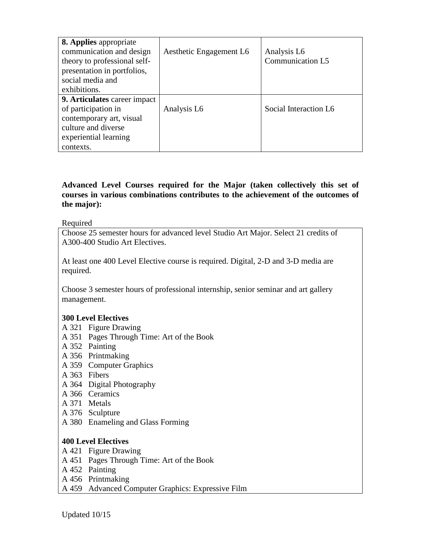| <b>8. Applies appropriate</b><br>communication and design<br>theory to professional self-<br>presentation in portfolios,<br>social media and<br>exhibitions. | Aesthetic Engagement L6 | Analysis L6<br>Communication L5 |
|--------------------------------------------------------------------------------------------------------------------------------------------------------------|-------------------------|---------------------------------|
| 9. Articulates career impact<br>of participation in<br>contemporary art, visual<br>culture and diverse<br>experiential learning<br>contexts.                 | Analysis L6             | Social Interaction L6           |

#### **Advanced Level Courses required for the Major (taken collectively this set of courses in various combinations contributes to the achievement of the outcomes of the major):**

Required

Choose 25 semester hours for advanced level Studio Art Major. Select 21 credits of A300-400 Studio Art Electives.

At least one 400 Level Elective course is required. Digital, 2-D and 3-D media are required.

Choose 3 semester hours of professional internship, senior seminar and art gallery management.

### **300 Level Electives**

- A 321 Figure Drawing
- A 351 Pages Through Time: Art of the Book
- A 352 Painting
- A 356 Printmaking
- A 359 Computer Graphics
- A 363 Fibers
- A 364 Digital Photography
- A 366 Ceramics
- A 371 Metals
- A 376 Sculpture
- A 380 Enameling and Glass Forming

### **400 Level Electives**

- A 421 Figure Drawing
- A 451 Pages Through Time: Art of the Book
- A 452 Painting
- A 456 Printmaking
- A 459 Advanced Computer Graphics: Expressive Film